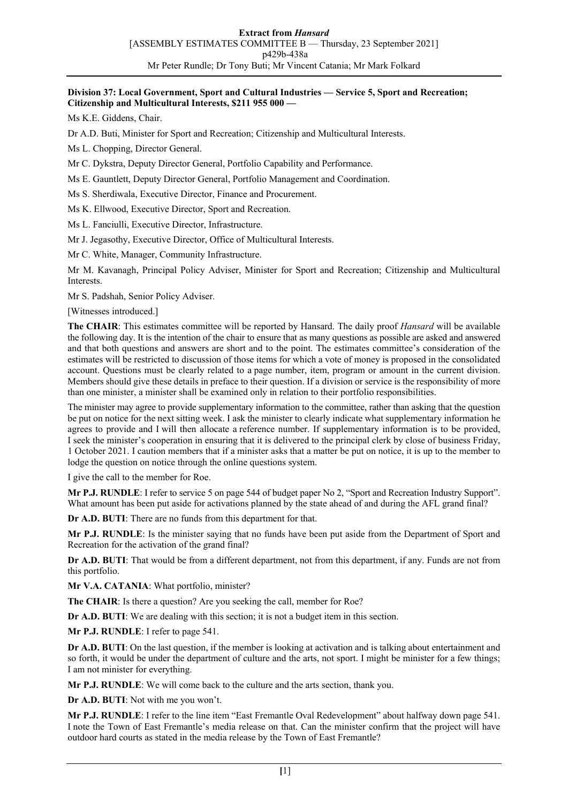## **Division 37: Local Government, Sport and Cultural Industries — Service 5, Sport and Recreation; Citizenship and Multicultural Interests, \$211 955 000 —**

Ms K.E. Giddens, Chair.

Dr A.D. Buti, Minister for Sport and Recreation; Citizenship and Multicultural Interests.

Ms L. Chopping, Director General.

Mr C. Dykstra, Deputy Director General, Portfolio Capability and Performance.

Ms E. Gauntlett, Deputy Director General, Portfolio Management and Coordination.

Ms S. Sherdiwala, Executive Director, Finance and Procurement.

Ms K. Ellwood, Executive Director, Sport and Recreation.

Ms L. Fanciulli, Executive Director, Infrastructure.

Mr J. Jegasothy, Executive Director, Office of Multicultural Interests.

Mr C. White, Manager, Community Infrastructure.

Mr M. Kavanagh, Principal Policy Adviser, Minister for Sport and Recreation; Citizenship and Multicultural **Interests** 

Mr S. Padshah, Senior Policy Adviser.

[Witnesses introduced.]

**The CHAIR**: This estimates committee will be reported by Hansard. The daily proof *Hansard* will be available the following day. It is the intention of the chair to ensure that as many questions as possible are asked and answered and that both questions and answers are short and to the point. The estimates committee's consideration of the estimates will be restricted to discussion of those items for which a vote of money is proposed in the consolidated account. Questions must be clearly related to a page number, item, program or amount in the current division. Members should give these details in preface to their question. If a division or service is the responsibility of more than one minister, a minister shall be examined only in relation to their portfolio responsibilities.

The minister may agree to provide supplementary information to the committee, rather than asking that the question be put on notice for the next sitting week. I ask the minister to clearly indicate what supplementary information he agrees to provide and I will then allocate a reference number. If supplementary information is to be provided, I seek the minister's cooperation in ensuring that it is delivered to the principal clerk by close of business Friday, 1 October 2021. I caution members that if a minister asks that a matter be put on notice, it is up to the member to lodge the question on notice through the online questions system.

I give the call to the member for Roe.

**Mr P.J. RUNDLE**: I refer to service 5 on page 544 of budget paper No 2, "Sport and Recreation Industry Support". What amount has been put aside for activations planned by the state ahead of and during the AFL grand final?

**Dr A.D. BUTI**: There are no funds from this department for that.

**Mr P.J. RUNDLE**: Is the minister saying that no funds have been put aside from the Department of Sport and Recreation for the activation of the grand final?

**Dr A.D. BUTI**: That would be from a different department, not from this department, if any. Funds are not from this portfolio.

**Mr V.A. CATANIA**: What portfolio, minister?

**The CHAIR**: Is there a question? Are you seeking the call, member for Roe?

**Dr A.D. BUTI**: We are dealing with this section; it is not a budget item in this section.

**Mr P.J. RUNDLE**: I refer to page 541.

**Dr A.D. BUTI**: On the last question, if the member is looking at activation and is talking about entertainment and so forth, it would be under the department of culture and the arts, not sport. I might be minister for a few things; I am not minister for everything.

**Mr P.J. RUNDLE**: We will come back to the culture and the arts section, thank you.

**Dr A.D. BUTI**: Not with me you won't.

**Mr P.J. RUNDLE**: I refer to the line item "East Fremantle Oval Redevelopment" about halfway down page 541. I note the Town of East Fremantle's media release on that. Can the minister confirm that the project will have outdoor hard courts as stated in the media release by the Town of East Fremantle?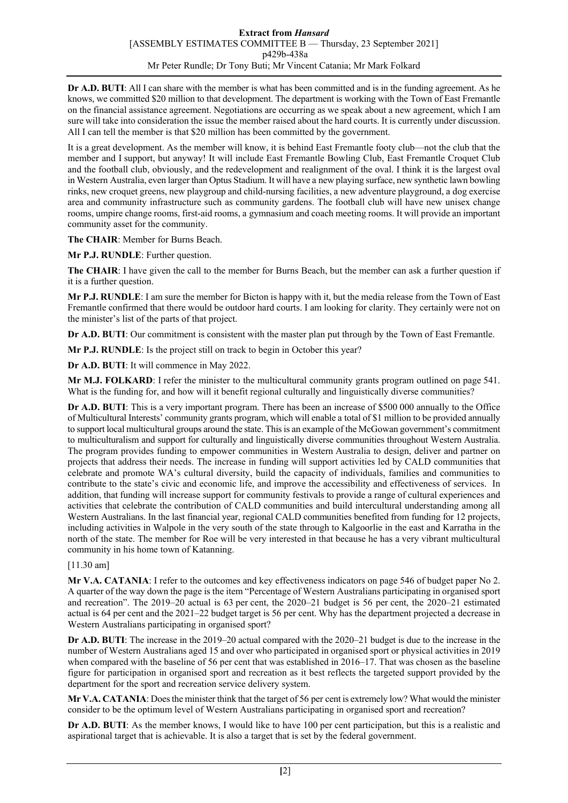**Dr A.D. BUTI**: All I can share with the member is what has been committed and is in the funding agreement. As he knows, we committed \$20 million to that development. The department is working with the Town of East Fremantle on the financial assistance agreement. Negotiations are occurring as we speak about a new agreement, which I am sure will take into consideration the issue the member raised about the hard courts. It is currently under discussion. All I can tell the member is that \$20 million has been committed by the government.

It is a great development. As the member will know, it is behind East Fremantle footy club—not the club that the member and I support, but anyway! It will include East Fremantle Bowling Club, East Fremantle Croquet Club and the football club, obviously, and the redevelopment and realignment of the oval. I think it is the largest oval in Western Australia, even larger than Optus Stadium. It will have a new playing surface, new synthetic lawn bowling rinks, new croquet greens, new playgroup and child-nursing facilities, a new adventure playground, a dog exercise area and community infrastructure such as community gardens. The football club will have new unisex change rooms, umpire change rooms, first-aid rooms, a gymnasium and coach meeting rooms. It will provide an important community asset for the community.

**The CHAIR**: Member for Burns Beach.

**Mr P.J. RUNDLE**: Further question.

**The CHAIR**: I have given the call to the member for Burns Beach, but the member can ask a further question if it is a further question.

**Mr P.J. RUNDLE**: I am sure the member for Bicton is happy with it, but the media release from the Town of East Fremantle confirmed that there would be outdoor hard courts. I am looking for clarity. They certainly were not on the minister's list of the parts of that project.

**Dr A.D. BUTI**: Our commitment is consistent with the master plan put through by the Town of East Fremantle.

**Mr P.J. RUNDLE**: Is the project still on track to begin in October this year?

**Dr A.D. BUTI**: It will commence in May 2022.

**Mr M.J. FOLKARD**: I refer the minister to the multicultural community grants program outlined on page 541. What is the funding for, and how will it benefit regional culturally and linguistically diverse communities?

**Dr A.D. BUTI**: This is a very important program. There has been an increase of \$500 000 annually to the Office of Multicultural Interests' community grants program, which will enable a total of \$1 million to be provided annually to support local multicultural groups around the state. This is an example of the McGowan government's commitment to multiculturalism and support for culturally and linguistically diverse communities throughout Western Australia. The program provides funding to empower communities in Western Australia to design, deliver and partner on projects that address their needs. The increase in funding will support activities led by CALD communities that celebrate and promote WA's cultural diversity, build the capacity of individuals, families and communities to contribute to the state's civic and economic life, and improve the accessibility and effectiveness of services. In addition, that funding will increase support for community festivals to provide a range of cultural experiences and activities that celebrate the contribution of CALD communities and build intercultural understanding among all Western Australians. In the last financial year, regional CALD communities benefited from funding for 12 projects, including activities in Walpole in the very south of the state through to Kalgoorlie in the east and Karratha in the north of the state. The member for Roe will be very interested in that because he has a very vibrant multicultural community in his home town of Katanning.

## [11.30 am]

**Mr V.A. CATANIA**: I refer to the outcomes and key effectiveness indicators on page 546 of budget paper No 2. A quarter of the way down the page is the item "Percentage of Western Australians participating in organised sport and recreation". The 2019–20 actual is 63 per cent, the 2020–21 budget is 56 per cent, the 2020–21 estimated actual is 64 per cent and the 2021–22 budget target is 56 per cent. Why has the department projected a decrease in Western Australians participating in organised sport?

**Dr A.D. BUTI**: The increase in the 2019–20 actual compared with the 2020–21 budget is due to the increase in the number of Western Australians aged 15 and over who participated in organised sport or physical activities in 2019 when compared with the baseline of 56 per cent that was established in 2016–17. That was chosen as the baseline figure for participation in organised sport and recreation as it best reflects the targeted support provided by the department for the sport and recreation service delivery system.

**Mr V.A. CATANIA**: Does the minister think that the target of 56 per cent is extremely low? What would the minister consider to be the optimum level of Western Australians participating in organised sport and recreation?

**Dr A.D. BUTI**: As the member knows, I would like to have 100 per cent participation, but this is a realistic and aspirational target that is achievable. It is also a target that is set by the federal government.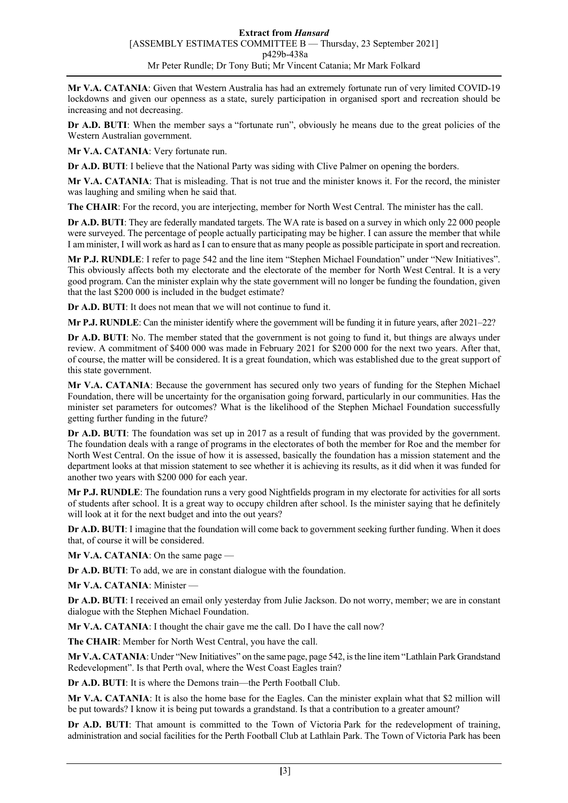**Mr V.A. CATANIA**: Given that Western Australia has had an extremely fortunate run of very limited COVID-19 lockdowns and given our openness as a state, surely participation in organised sport and recreation should be increasing and not decreasing.

**Dr A.D. BUTI:** When the member says a "fortunate run", obviously he means due to the great policies of the Western Australian government.

**Mr V.A. CATANIA**: Very fortunate run.

**Dr A.D. BUTI**: I believe that the National Party was siding with Clive Palmer on opening the borders.

**Mr V.A. CATANIA**: That is misleading. That is not true and the minister knows it. For the record, the minister was laughing and smiling when he said that.

The CHAIR: For the record, you are interjecting, member for North West Central. The minister has the call.

**Dr A.D. BUTI**: They are federally mandated targets. The WA rate is based on a survey in which only 22 000 people were surveyed. The percentage of people actually participating may be higher. I can assure the member that while I am minister, I will work as hard asI can to ensure that as many people as possible participate in sport and recreation.

**Mr P.J. RUNDLE**: I refer to page 542 and the line item "Stephen Michael Foundation" under "New Initiatives". This obviously affects both my electorate and the electorate of the member for North West Central. It is a very good program. Can the minister explain why the state government will no longer be funding the foundation, given that the last \$200 000 is included in the budget estimate?

**Dr A.D. BUTI**: It does not mean that we will not continue to fund it.

**Mr P.J. RUNDLE**: Can the minister identify where the government will be funding it in future years, after 2021–22?

**Dr A.D. BUTI:** No. The member stated that the government is not going to fund it, but things are always under review. A commitment of \$400 000 was made in February 2021 for \$200 000 for the next two years. After that, of course, the matter will be considered. It is a great foundation, which was established due to the great support of this state government.

**Mr V.A. CATANIA**: Because the government has secured only two years of funding for the Stephen Michael Foundation, there will be uncertainty for the organisation going forward, particularly in our communities. Has the minister set parameters for outcomes? What is the likelihood of the Stephen Michael Foundation successfully getting further funding in the future?

**Dr A.D. BUTI**: The foundation was set up in 2017 as a result of funding that was provided by the government. The foundation deals with a range of programs in the electorates of both the member for Roe and the member for North West Central. On the issue of how it is assessed, basically the foundation has a mission statement and the department looks at that mission statement to see whether it is achieving its results, as it did when it was funded for another two years with \$200 000 for each year.

**Mr P.J. RUNDLE**: The foundation runs a very good Nightfields program in my electorate for activities for all sorts of students after school. It is a great way to occupy children after school. Is the minister saying that he definitely will look at it for the next budget and into the out years?

**Dr A.D. BUTI**: I imagine that the foundation will come back to government seeking further funding. When it does that, of course it will be considered.

**Mr V.A. CATANIA**: On the same page —

**Dr A.D. BUTI**: To add, we are in constant dialogue with the foundation.

**Mr V.A. CATANIA**: Minister —

**Dr A.D. BUTI**: I received an email only yesterday from Julie Jackson. Do not worry, member; we are in constant dialogue with the Stephen Michael Foundation.

**Mr V.A. CATANIA**: I thought the chair gave me the call. Do I have the call now?

**The CHAIR**: Member for North West Central, you have the call.

**Mr V.A. CATANIA**: Under "New Initiatives" on the same page, page 542, is the line item "Lathlain Park Grandstand Redevelopment". Is that Perth oval, where the West Coast Eagles train?

**Dr A.D. BUTI**: It is where the Demons train—the Perth Football Club.

**Mr V.A. CATANIA**: It is also the home base for the Eagles. Can the minister explain what that \$2 million will be put towards? I know it is being put towards a grandstand. Is that a contribution to a greater amount?

**Dr A.D. BUTI**: That amount is committed to the Town of Victoria Park for the redevelopment of training, administration and social facilities for the Perth Football Club at Lathlain Park. The Town of Victoria Park has been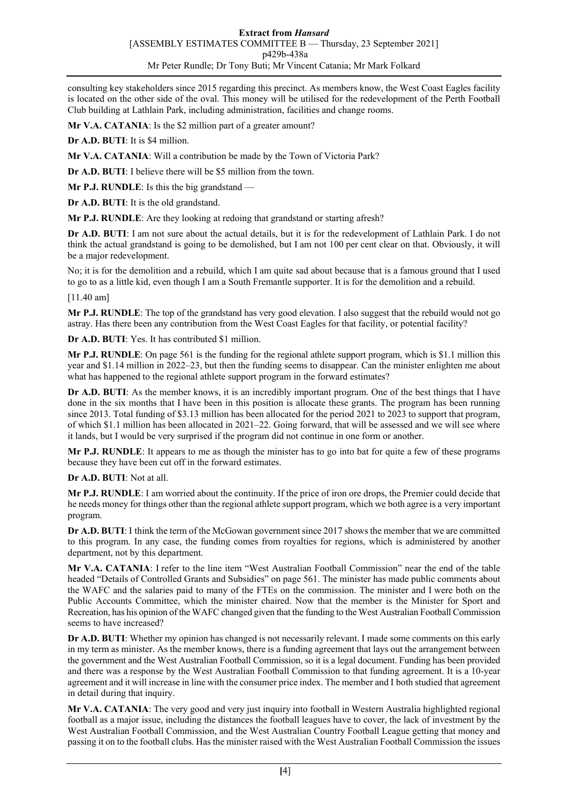consulting key stakeholders since 2015 regarding this precinct. As members know, the West Coast Eagles facility is located on the other side of the oval. This money will be utilised for the redevelopment of the Perth Football Club building at Lathlain Park, including administration, facilities and change rooms.

**Mr V.A. CATANIA:** Is the \$2 million part of a greater amount?

**Dr A.D. BUTI**: It is \$4 million.

**Mr V.A. CATANIA**: Will a contribution be made by the Town of Victoria Park?

**Dr A.D. BUTI**: I believe there will be \$5 million from the town.

**Mr P.J. RUNDLE**: Is this the big grandstand —

**Dr A.D. BUTI**: It is the old grandstand.

**Mr P.J. RUNDLE**: Are they looking at redoing that grandstand or starting afresh?

**Dr A.D. BUTI**: I am not sure about the actual details, but it is for the redevelopment of Lathlain Park. I do not think the actual grandstand is going to be demolished, but I am not 100 per cent clear on that. Obviously, it will be a major redevelopment.

No; it is for the demolition and a rebuild, which I am quite sad about because that is a famous ground that I used to go to as a little kid, even though I am a South Fremantle supporter. It is for the demolition and a rebuild.

[11.40 am]

**Mr P.J. RUNDLE**: The top of the grandstand has very good elevation. I also suggest that the rebuild would not go astray. Has there been any contribution from the West Coast Eagles for that facility, or potential facility?

**Dr A.D. BUTI**: Yes. It has contributed \$1 million.

**Mr P.J. RUNDLE**: On page 561 is the funding for the regional athlete support program, which is \$1.1 million this year and \$1.14 million in 2022–23, but then the funding seems to disappear. Can the minister enlighten me about what has happened to the regional athlete support program in the forward estimates?

**Dr A.D. BUTI**: As the member knows, it is an incredibly important program. One of the best things that I have done in the six months that I have been in this position is allocate these grants. The program has been running since 2013. Total funding of \$3.13 million has been allocated for the period 2021 to 2023 to support that program, of which \$1.1 million has been allocated in 2021–22. Going forward, that will be assessed and we will see where it lands, but I would be very surprised if the program did not continue in one form or another.

**Mr P.J. RUNDLE**: It appears to me as though the minister has to go into bat for quite a few of these programs because they have been cut off in the forward estimates.

**Dr A.D. BUTI**: Not at all.

**Mr P.J. RUNDLE**: I am worried about the continuity. If the price of iron ore drops, the Premier could decide that he needs money for things other than the regional athlete support program, which we both agree is a very important program.

**Dr A.D. BUTI**: I think the term of the McGowan government since 2017 shows the member that we are committed to this program. In any case, the funding comes from royalties for regions, which is administered by another department, not by this department.

**Mr V.A. CATANIA**: I refer to the line item "West Australian Football Commission" near the end of the table headed "Details of Controlled Grants and Subsidies" on page 561. The minister has made public comments about the WAFC and the salaries paid to many of the FTEs on the commission. The minister and I were both on the Public Accounts Committee, which the minister chaired. Now that the member is the Minister for Sport and Recreation, has his opinion of the WAFC changed given that the funding to the West Australian Football Commission seems to have increased?

**Dr A.D. BUTI**: Whether my opinion has changed is not necessarily relevant. I made some comments on this early in my term as minister. As the member knows, there is a funding agreement that lays out the arrangement between the government and the West Australian Football Commission, so it is a legal document. Funding has been provided and there was a response by the West Australian Football Commission to that funding agreement. It is a 10-year agreement and it will increase in line with the consumer price index. The member and I both studied that agreement in detail during that inquiry.

**Mr V.A. CATANIA**: The very good and very just inquiry into football in Western Australia highlighted regional football as a major issue, including the distances the football leagues have to cover, the lack of investment by the West Australian Football Commission, and the West Australian Country Football League getting that money and passing it on to the football clubs. Has the minister raised with the West Australian Football Commission the issues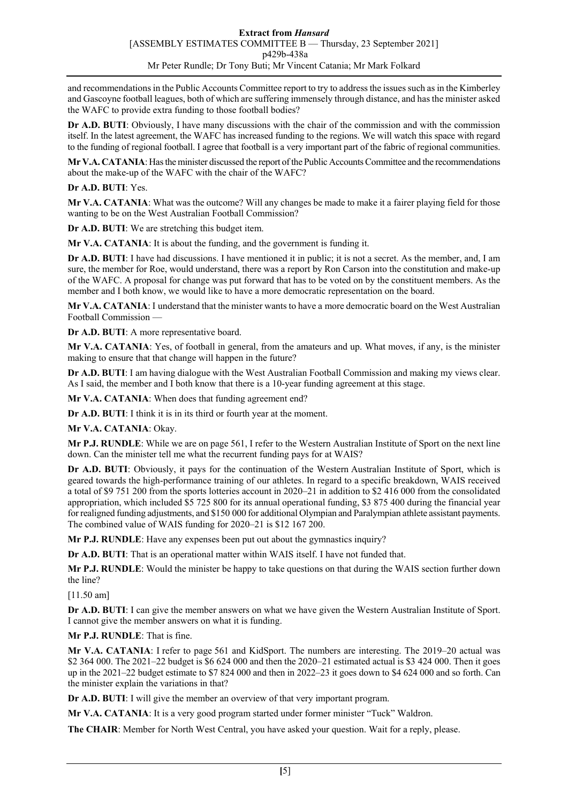and recommendations in the Public Accounts Committee report to try to address the issues such as in the Kimberley and Gascoyne football leagues, both of which are suffering immensely through distance, and has the minister asked the WAFC to provide extra funding to those football bodies?

**Dr A.D. BUTI**: Obviously, I have many discussions with the chair of the commission and with the commission itself. In the latest agreement, the WAFC has increased funding to the regions. We will watch this space with regard to the funding of regional football. I agree that football is a very important part of the fabric of regional communities.

**Mr V.A. CATANIA**: Has the minister discussed the report of the Public Accounts Committee and the recommendations about the make-up of the WAFC with the chair of the WAFC?

**Dr A.D. BUTI**: Yes.

**Mr V.A. CATANIA**: What was the outcome? Will any changes be made to make it a fairer playing field for those wanting to be on the West Australian Football Commission?

**Dr A.D. BUTI**: We are stretching this budget item.

**Mr V.A. CATANIA**: It is about the funding, and the government is funding it.

**Dr A.D. BUTI**: I have had discussions. I have mentioned it in public; it is not a secret. As the member, and, I am sure, the member for Roe, would understand, there was a report by Ron Carson into the constitution and make-up of the WAFC. A proposal for change was put forward that has to be voted on by the constituent members. As the member and I both know, we would like to have a more democratic representation on the board.

**Mr V.A. CATANIA**: I understand that the minister wants to have a more democratic board on the West Australian Football Commission —

**Dr A.D. BUTI**: A more representative board.

**Mr V.A. CATANIA**: Yes, of football in general, from the amateurs and up. What moves, if any, is the minister making to ensure that that change will happen in the future?

**Dr A.D. BUTI**: I am having dialogue with the West Australian Football Commission and making my views clear. As I said, the member and I both know that there is a 10-year funding agreement at this stage.

Mr V.A. CATANIA: When does that funding agreement end?

**Dr A.D. BUTI**: I think it is in its third or fourth year at the moment.

**Mr V.A. CATANIA**: Okay.

**Mr P.J. RUNDLE**: While we are on page 561, I refer to the Western Australian Institute of Sport on the next line down. Can the minister tell me what the recurrent funding pays for at WAIS?

**Dr A.D. BUTI**: Obviously, it pays for the continuation of the Western Australian Institute of Sport, which is geared towards the high-performance training of our athletes. In regard to a specific breakdown, WAIS received a total of \$9 751 200 from the sports lotteries account in 2020–21 in addition to \$2 416 000 from the consolidated appropriation, which included \$5 725 800 for its annual operational funding, \$3 875 400 during the financial year for realigned funding adjustments, and \$150 000 for additional Olympian and Paralympian athlete assistant payments. The combined value of WAIS funding for 2020–21 is \$12 167 200.

**Mr P.J. RUNDLE**: Have any expenses been put out about the gymnastics inquiry?

**Dr A.D. BUTI**: That is an operational matter within WAIS itself. I have not funded that.

**Mr P.J. RUNDLE**: Would the minister be happy to take questions on that during the WAIS section further down the line?

[11.50 am]

**Dr A.D. BUTI**: I can give the member answers on what we have given the Western Australian Institute of Sport. I cannot give the member answers on what it is funding.

**Mr P.J. RUNDLE**: That is fine.

**Mr V.A. CATANIA**: I refer to page 561 and KidSport. The numbers are interesting. The 2019–20 actual was \$2 364 000. The 2021–22 budget is \$6 624 000 and then the 2020–21 estimated actual is \$3 424 000. Then it goes up in the 2021–22 budget estimate to \$7 824 000 and then in 2022–23 it goes down to \$4 624 000 and so forth. Can the minister explain the variations in that?

**Dr A.D. BUTI**: I will give the member an overview of that very important program.

**Mr V.A. CATANIA**: It is a very good program started under former minister "Tuck" Waldron.

**The CHAIR**: Member for North West Central, you have asked your question. Wait for a reply, please.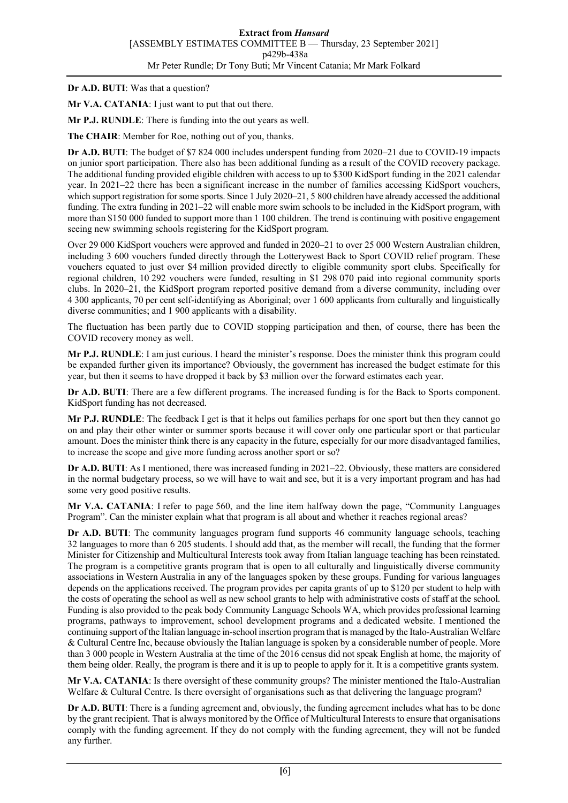**Dr A.D. BUTI**: Was that a question?

**Mr V.A. CATANIA**: I just want to put that out there.

**Mr P.J. RUNDLE**: There is funding into the out years as well.

**The CHAIR**: Member for Roe, nothing out of you, thanks.

**Dr A.D. BUTI**: The budget of \$7 824 000 includes underspent funding from 2020–21 due to COVID-19 impacts on junior sport participation. There also has been additional funding as a result of the COVID recovery package. The additional funding provided eligible children with access to up to \$300 KidSport funding in the 2021 calendar year. In 2021–22 there has been a significant increase in the number of families accessing KidSport vouchers, which support registration for some sports. Since 1 July 2020–21, 5 800 children have already accessed the additional funding. The extra funding in 2021–22 will enable more swim schools to be included in the KidSport program, with more than \$150 000 funded to support more than 1 100 children. The trend is continuing with positive engagement seeing new swimming schools registering for the KidSport program.

Over 29 000 KidSport vouchers were approved and funded in 2020–21 to over 25 000 Western Australian children, including 3 600 vouchers funded directly through the Lotterywest Back to Sport COVID relief program. These vouchers equated to just over \$4 million provided directly to eligible community sport clubs. Specifically for regional children, 10 292 vouchers were funded, resulting in \$1 298 070 paid into regional community sports clubs. In 2020–21, the KidSport program reported positive demand from a diverse community, including over 4 300 applicants, 70 per cent self-identifying as Aboriginal; over 1 600 applicants from culturally and linguistically diverse communities; and 1 900 applicants with a disability.

The fluctuation has been partly due to COVID stopping participation and then, of course, there has been the COVID recovery money as well.

**Mr P.J. RUNDLE**: I am just curious. I heard the minister's response. Does the minister think this program could be expanded further given its importance? Obviously, the government has increased the budget estimate for this year, but then it seems to have dropped it back by \$3 million over the forward estimates each year.

**Dr A.D. BUTI**: There are a few different programs. The increased funding is for the Back to Sports component. KidSport funding has not decreased.

**Mr P.J. RUNDLE**: The feedback I get is that it helps out families perhaps for one sport but then they cannot go on and play their other winter or summer sports because it will cover only one particular sport or that particular amount. Does the minister think there is any capacity in the future, especially for our more disadvantaged families, to increase the scope and give more funding across another sport or so?

**Dr A.D. BUTI**: As I mentioned, there was increased funding in 2021–22. Obviously, these matters are considered in the normal budgetary process, so we will have to wait and see, but it is a very important program and has had some very good positive results.

**Mr V.A. CATANIA**: I refer to page 560, and the line item halfway down the page, "Community Languages Program". Can the minister explain what that program is all about and whether it reaches regional areas?

**Dr A.D. BUTI**: The community languages program fund supports 46 community language schools, teaching 32 languages to more than 6 205 students. I should add that, as the member will recall, the funding that the former Minister for Citizenship and Multicultural Interests took away from Italian language teaching has been reinstated. The program is a competitive grants program that is open to all culturally and linguistically diverse community associations in Western Australia in any of the languages spoken by these groups. Funding for various languages depends on the applications received. The program provides per capita grants of up to \$120 per student to help with the costs of operating the school as well as new school grants to help with administrative costs of staff at the school. Funding is also provided to the peak body Community Language Schools WA, which provides professional learning programs, pathways to improvement, school development programs and a dedicated website. I mentioned the continuing support of the Italian language in-school insertion program that is managed by the Italo-Australian Welfare & Cultural Centre Inc, because obviously the Italian language is spoken by a considerable number of people. More than 3 000 people in Western Australia at the time of the 2016 census did not speak English at home, the majority of them being older. Really, the program is there and it is up to people to apply for it. It is a competitive grants system.

**Mr V.A. CATANIA**: Is there oversight of these community groups? The minister mentioned the Italo-Australian Welfare & Cultural Centre. Is there oversight of organisations such as that delivering the language program?

**Dr A.D. BUTI**: There is a funding agreement and, obviously, the funding agreement includes what has to be done by the grant recipient. That is always monitored by the Office of Multicultural Interests to ensure that organisations comply with the funding agreement. If they do not comply with the funding agreement, they will not be funded any further.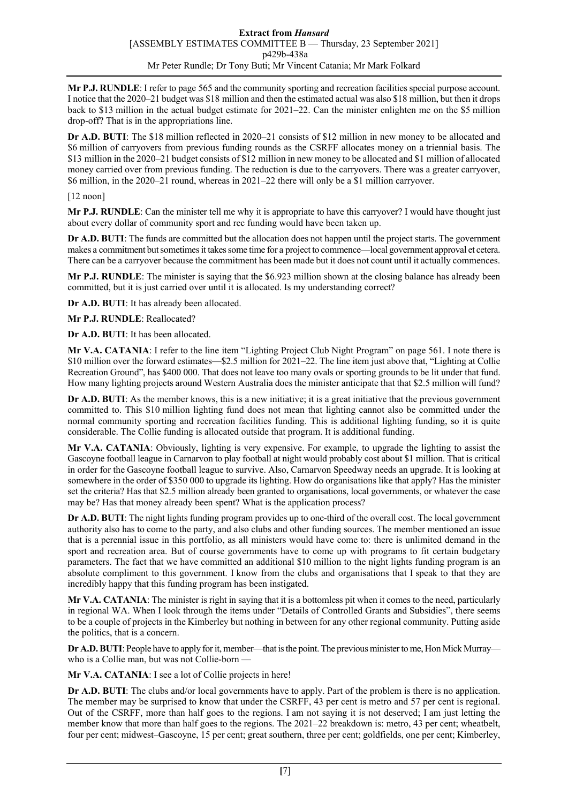**Mr P.J. RUNDLE**: I refer to page 565 and the community sporting and recreation facilities special purpose account. I notice that the 2020–21 budget was \$18 million and then the estimated actual was also \$18 million, but then it drops back to \$13 million in the actual budget estimate for 2021–22. Can the minister enlighten me on the \$5 million drop-off? That is in the appropriations line.

**Dr A.D. BUTI**: The \$18 million reflected in 2020–21 consists of \$12 million in new money to be allocated and \$6 million of carryovers from previous funding rounds as the CSRFF allocates money on a triennial basis. The \$13 million in the 2020–21 budget consists of \$12 million in new money to be allocated and \$1 million of allocated money carried over from previous funding. The reduction is due to the carryovers. There was a greater carryover, \$6 million, in the 2020–21 round, whereas in 2021–22 there will only be a \$1 million carryover.

[12 noon]

**Mr P.J. RUNDLE**: Can the minister tell me why it is appropriate to have this carryover? I would have thought just about every dollar of community sport and rec funding would have been taken up.

**Dr A.D. BUTI**: The funds are committed but the allocation does not happen until the project starts. The government makes a commitment but sometimes it takes some time for a project to commence—local government approval et cetera. There can be a carryover because the commitment has been made but it does not count until it actually commences.

**Mr P.J. RUNDLE**: The minister is saying that the \$6.923 million shown at the closing balance has already been committed, but it is just carried over until it is allocated. Is my understanding correct?

**Dr A.D. BUTI**: It has already been allocated.

**Mr P.J. RUNDLE**: Reallocated?

**Dr A.D. BUTI**: It has been allocated.

**Mr V.A. CATANIA**: I refer to the line item "Lighting Project Club Night Program" on page 561. I note there is \$10 million over the forward estimates—\$2.5 million for 2021–22. The line item just above that, "Lighting at Collie Recreation Ground", has \$400 000. That does not leave too many ovals or sporting grounds to be lit under that fund. How many lighting projects around Western Australia does the minister anticipate that that \$2.5 million will fund?

**Dr A.D. BUTI:** As the member knows, this is a new initiative; it is a great initiative that the previous government committed to. This \$10 million lighting fund does not mean that lighting cannot also be committed under the normal community sporting and recreation facilities funding. This is additional lighting funding, so it is quite considerable. The Collie funding is allocated outside that program. It is additional funding.

**Mr V.A. CATANIA**: Obviously, lighting is very expensive. For example, to upgrade the lighting to assist the Gascoyne football league in Carnarvon to play football at night would probably cost about \$1 million. That is critical in order for the Gascoyne football league to survive. Also, Carnarvon Speedway needs an upgrade. It is looking at somewhere in the order of \$350 000 to upgrade its lighting. How do organisations like that apply? Has the minister set the criteria? Has that \$2.5 million already been granted to organisations, local governments, or whatever the case may be? Has that money already been spent? What is the application process?

**Dr A.D. BUTI**: The night lights funding program provides up to one-third of the overall cost. The local government authority also has to come to the party, and also clubs and other funding sources. The member mentioned an issue that is a perennial issue in this portfolio, as all ministers would have come to: there is unlimited demand in the sport and recreation area. But of course governments have to come up with programs to fit certain budgetary parameters. The fact that we have committed an additional \$10 million to the night lights funding program is an absolute compliment to this government. I know from the clubs and organisations that I speak to that they are incredibly happy that this funding program has been instigated.

**Mr V.A. CATANIA**: The minister is right in saying that it is a bottomless pit when it comes to the need, particularly in regional WA. When I look through the items under "Details of Controlled Grants and Subsidies", there seems to be a couple of projects in the Kimberley but nothing in between for any other regional community. Putting aside the politics, that is a concern.

**Dr A.D. BUTI**: People have to apply for it, member—that is the point. The previous minister to me, Hon Mick Murray who is a Collie man, but was not Collie-born —

**Mr V.A. CATANIA**: I see a lot of Collie projects in here!

**Dr A.D. BUTI**: The clubs and/or local governments have to apply. Part of the problem is there is no application. The member may be surprised to know that under the CSRFF, 43 per cent is metro and 57 per cent is regional. Out of the CSRFF, more than half goes to the regions. I am not saying it is not deserved; I am just letting the member know that more than half goes to the regions. The 2021–22 breakdown is: metro, 43 per cent; wheatbelt, four per cent; midwest–Gascoyne, 15 per cent; great southern, three per cent; goldfields, one per cent; Kimberley,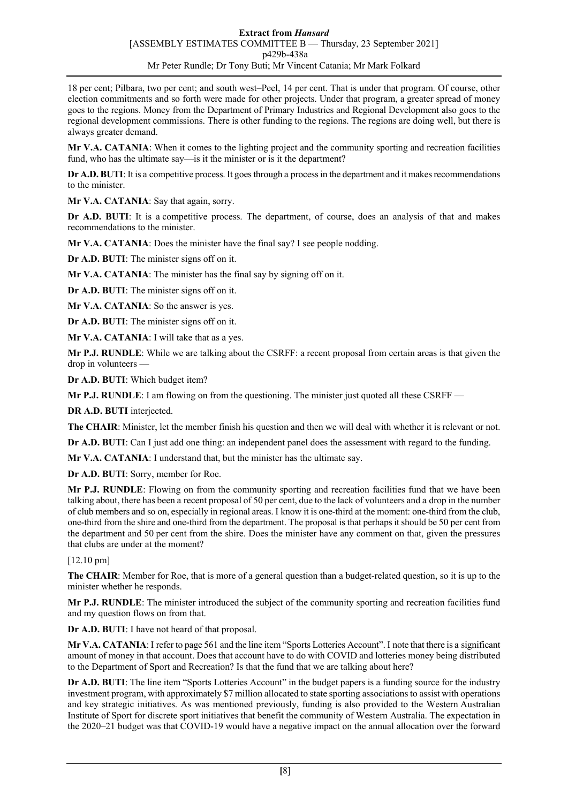18 per cent; Pilbara, two per cent; and south west–Peel, 14 per cent. That is under that program. Of course, other election commitments and so forth were made for other projects. Under that program, a greater spread of money goes to the regions. Money from the Department of Primary Industries and Regional Development also goes to the regional development commissions. There is other funding to the regions. The regions are doing well, but there is always greater demand.

**Mr V.A. CATANIA**: When it comes to the lighting project and the community sporting and recreation facilities fund, who has the ultimate say—is it the minister or is it the department?

**Dr A.D. BUTI**: It is a competitive process. It goes through a process in the department and it makes recommendations to the minister.

Mr V.A. CATANIA: Say that again, sorry.

**Dr A.D. BUTI:** It is a competitive process. The department, of course, does an analysis of that and makes recommendations to the minister.

**Mr V.A. CATANIA**: Does the minister have the final say? I see people nodding.

**Dr A.D. BUTI**: The minister signs off on it.

**Mr V.A. CATANIA**: The minister has the final say by signing off on it.

**Dr A.D. BUTI**: The minister signs off on it.

**Mr V.A. CATANIA**: So the answer is yes.

**Dr A.D. BUTI**: The minister signs off on it.

**Mr V.A. CATANIA**: I will take that as a yes.

**Mr P.J. RUNDLE**: While we are talking about the CSRFF: a recent proposal from certain areas is that given the drop in volunteers —

**Dr A.D. BUTI**: Which budget item?

**Mr P.J. RUNDLE**: I am flowing on from the questioning. The minister just quoted all these CSRFF —

**DR A.D. BUTI** interjected.

**The CHAIR**: Minister, let the member finish his question and then we will deal with whether it is relevant or not.

**Dr A.D. BUTI:** Can I just add one thing: an independent panel does the assessment with regard to the funding.

**Mr V.A. CATANIA**: I understand that, but the minister has the ultimate say.

**Dr A.D. BUTI**: Sorry, member for Roe.

**Mr P.J. RUNDLE**: Flowing on from the community sporting and recreation facilities fund that we have been talking about, there has been a recent proposal of 50 per cent, due to the lack of volunteers and a drop in the number of club members and so on, especially in regional areas. I know it is one-third at the moment: one-third from the club, one-third from the shire and one-third from the department. The proposal is that perhaps it should be 50 per cent from the department and 50 per cent from the shire. Does the minister have any comment on that, given the pressures that clubs are under at the moment?

## [12.10 pm]

**The CHAIR**: Member for Roe, that is more of a general question than a budget-related question, so it is up to the minister whether he responds.

**Mr P.J. RUNDLE**: The minister introduced the subject of the community sporting and recreation facilities fund and my question flows on from that.

**Dr A.D. BUTI**: I have not heard of that proposal.

**Mr V.A. CATANIA**: I refer to page 561 and the line item "Sports Lotteries Account". I note that there is a significant amount of money in that account. Does that account have to do with COVID and lotteries money being distributed to the Department of Sport and Recreation? Is that the fund that we are talking about here?

**Dr A.D. BUTI**: The line item "Sports Lotteries Account" in the budget papers is a funding source for the industry investment program, with approximately \$7 million allocated to state sporting associations to assist with operations and key strategic initiatives. As was mentioned previously, funding is also provided to the Western Australian Institute of Sport for discrete sport initiatives that benefit the community of Western Australia. The expectation in the 2020–21 budget was that COVID-19 would have a negative impact on the annual allocation over the forward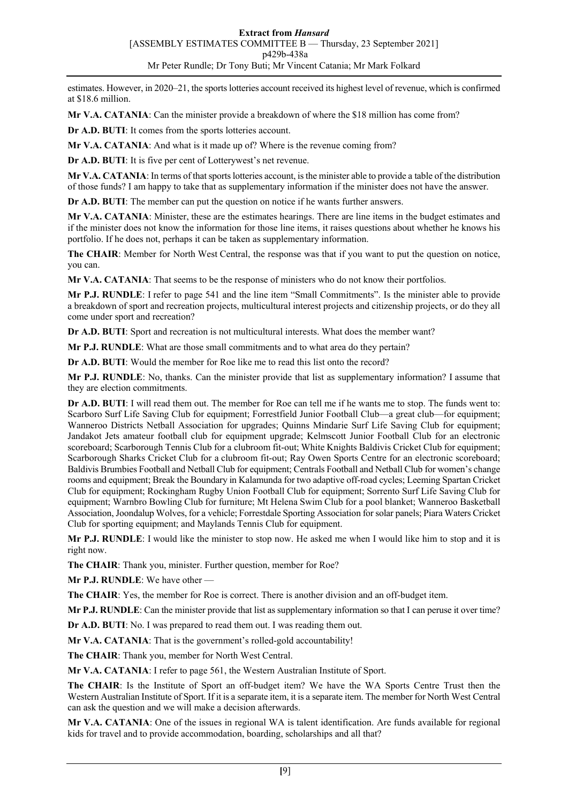estimates. However, in 2020–21, the sports lotteries account received its highest level of revenue, which is confirmed at \$18.6 million.

**Mr V.A. CATANIA**: Can the minister provide a breakdown of where the \$18 million has come from?

**Dr A.D. BUTI**: It comes from the sports lotteries account.

**Mr V.A. CATANIA**: And what is it made up of? Where is the revenue coming from?

**Dr A.D. BUTI**: It is five per cent of Lotterywest's net revenue.

**Mr V.A. CATANIA**: In terms of that sports lotteries account, is the minister able to provide a table of the distribution of those funds? I am happy to take that as supplementary information if the minister does not have the answer.

**Dr A.D. BUTI**: The member can put the question on notice if he wants further answers.

**Mr V.A. CATANIA**: Minister, these are the estimates hearings. There are line items in the budget estimates and if the minister does not know the information for those line items, it raises questions about whether he knows his portfolio. If he does not, perhaps it can be taken as supplementary information.

**The CHAIR**: Member for North West Central, the response was that if you want to put the question on notice, you can.

**Mr V.A. CATANIA**: That seems to be the response of ministers who do not know their portfolios.

**Mr P.J. RUNDLE**: I refer to page 541 and the line item "Small Commitments". Is the minister able to provide a breakdown of sport and recreation projects, multicultural interest projects and citizenship projects, or do they all come under sport and recreation?

**Dr A.D. BUTI**: Sport and recreation is not multicultural interests. What does the member want?

**Mr P.J. RUNDLE**: What are those small commitments and to what area do they pertain?

**Dr A.D. BUTI**: Would the member for Roe like me to read this list onto the record?

**Mr P.J. RUNDLE**: No, thanks. Can the minister provide that list as supplementary information? I assume that they are election commitments.

**Dr A.D. BUTI**: I will read them out. The member for Roe can tell me if he wants me to stop. The funds went to: Scarboro Surf Life Saving Club for equipment; Forrestfield Junior Football Club—a great club—for equipment; Wanneroo Districts Netball Association for upgrades; Quinns Mindarie Surf Life Saving Club for equipment; Jandakot Jets amateur football club for equipment upgrade; Kelmscott Junior Football Club for an electronic scoreboard; Scarborough Tennis Club for a clubroom fit-out; White Knights Baldivis Cricket Club for equipment; Scarborough Sharks Cricket Club for a clubroom fit-out; Ray Owen Sports Centre for an electronic scoreboard; Baldivis Brumbies Football and Netball Club for equipment; Centrals Football and Netball Club for women's change rooms and equipment; Break the Boundary in Kalamunda for two adaptive off-road cycles; Leeming Spartan Cricket Club for equipment; Rockingham Rugby Union Football Club for equipment; Sorrento Surf Life Saving Club for equipment; Warnbro Bowling Club for furniture; Mt Helena Swim Club for a pool blanket; Wanneroo Basketball Association, Joondalup Wolves, for a vehicle; Forrestdale Sporting Association for solar panels; Piara Waters Cricket Club for sporting equipment; and Maylands Tennis Club for equipment.

**Mr P.J. RUNDLE**: I would like the minister to stop now. He asked me when I would like him to stop and it is right now.

**The CHAIR**: Thank you, minister. Further question, member for Roe?

**Mr P.J. RUNDLE**: We have other —

**The CHAIR**: Yes, the member for Roe is correct. There is another division and an off-budget item.

**Mr P.J. RUNDLE**: Can the minister provide that list as supplementary information so that I can peruse it over time?

**Dr A.D. BUTI**: No. I was prepared to read them out. I was reading them out.

**Mr V.A. CATANIA**: That is the government's rolled-gold accountability!

**The CHAIR**: Thank you, member for North West Central.

**Mr V.A. CATANIA**: I refer to page 561, the Western Australian Institute of Sport.

**The CHAIR**: Is the Institute of Sport an off-budget item? We have the WA Sports Centre Trust then the Western Australian Institute of Sport. If it is a separate item, it is a separate item. The member for North West Central can ask the question and we will make a decision afterwards.

**Mr V.A. CATANIA**: One of the issues in regional WA is talent identification. Are funds available for regional kids for travel and to provide accommodation, boarding, scholarships and all that?